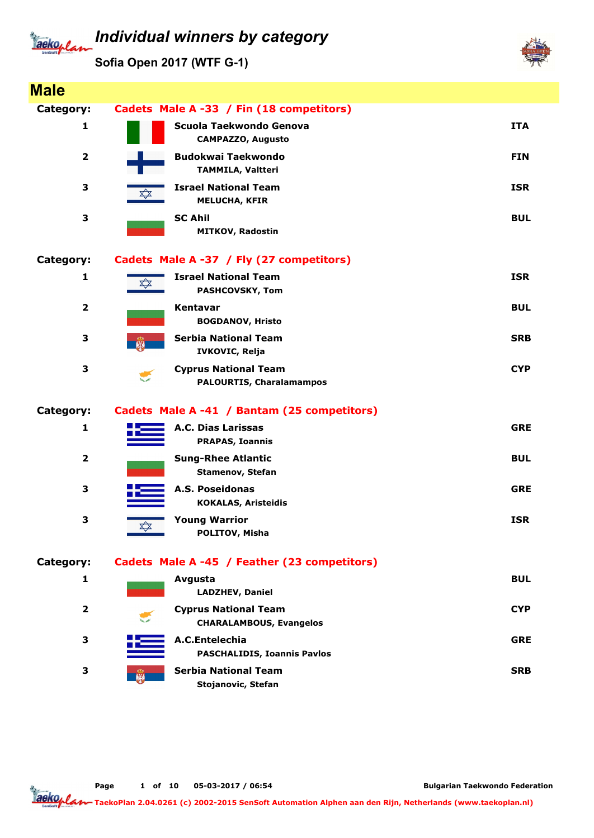

Sofia Open 2017 (WTF G-1)



Page 1 of 10 05-03-2017 / 06:54

Bulgarian Taekwondo Federation

aekoplan TaekoPlan 2.04.0261 (c) 2002-2015 SenSoft Automation Alphen aan den Rijn, Netherlands (www.taekoplan.nl)

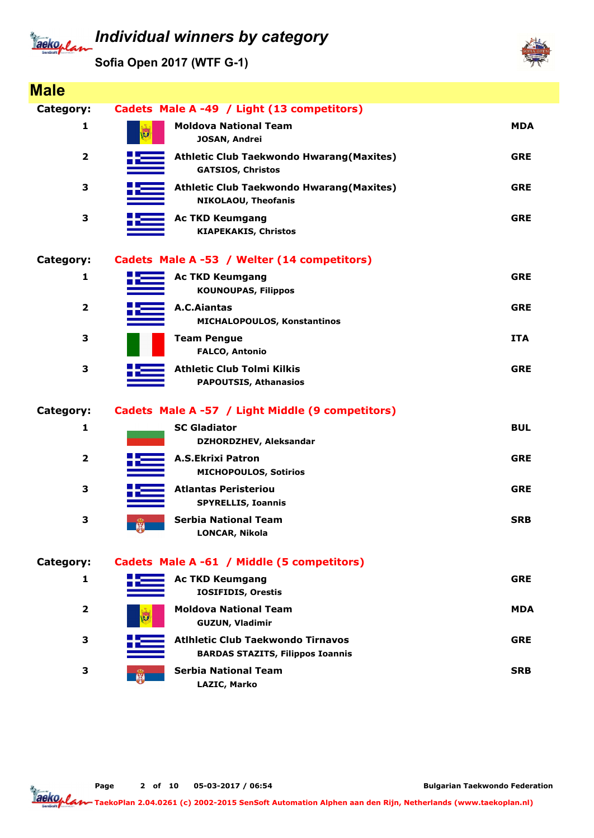# Jackoplan

## Individual winners by category

Sofia Open 2017 (WTF G-1)



| <b>Male</b>             |           |                                                                                     |            |  |
|-------------------------|-----------|-------------------------------------------------------------------------------------|------------|--|
| Category:               |           | Cadets Male A -49 / Light (13 competitors)                                          |            |  |
| 1                       |           | <b>Moldova National Team</b><br>JOSAN, Andrei                                       | <b>MDA</b> |  |
| $\overline{\mathbf{2}}$ |           | <b>Athletic Club Taekwondo Hwarang (Maxites)</b><br><b>GATSIOS, Christos</b>        | <b>GRE</b> |  |
| 3                       |           | <b>Athletic Club Taekwondo Hwarang (Maxites)</b><br><b>NIKOLAOU, Theofanis</b>      | <b>GRE</b> |  |
| 3                       |           | <b>Ac TKD Keumgang</b><br><b>KIAPEKAKIS, Christos</b>                               | <b>GRE</b> |  |
| Category:               |           | Cadets Male A -53 / Welter (14 competitors)                                         |            |  |
| 1                       |           | <b>Ac TKD Keumgang</b><br><b>KOUNOUPAS, Filippos</b>                                | <b>GRE</b> |  |
| $\overline{2}$          |           | <b>A.C.Aiantas</b><br>MICHALOPOULOS, Konstantinos                                   | <b>GRE</b> |  |
| 3                       |           | <b>Team Pengue</b><br><b>FALCO, Antonio</b>                                         | <b>ITA</b> |  |
| 3                       |           | <b>Athletic Club Tolmi Kilkis</b><br><b>PAPOUTSIS, Athanasios</b>                   | <b>GRE</b> |  |
| Category:               |           | Cadets Male A -57 / Light Middle (9 competitors)                                    |            |  |
| 1                       |           | <b>SC Gladiator</b><br>DZHORDZHEV, Aleksandar                                       | <b>BUL</b> |  |
| $\overline{\mathbf{2}}$ |           | <b>A.S.Ekrixi Patron</b><br><b>MICHOPOULOS, Sotirios</b>                            | <b>GRE</b> |  |
| 3                       |           | <b>Atlantas Peristeriou</b><br><b>SPYRELLIS, Ioannis</b>                            | <b>GRE</b> |  |
| 3                       | <b>RA</b> | <b>Serbia National Team</b><br><b>LONCAR, Nikola</b>                                | <b>SRB</b> |  |
| <b>Category:</b>        |           | Cadets Male A -61 / Middle (5 competitors)                                          |            |  |
| 1                       |           | <b>Ac TKD Keumgang</b><br><b>IOSIFIDIS, Orestis</b>                                 | <b>GRE</b> |  |
| $\overline{2}$          |           | <b>Moldova National Team</b><br><b>GUZUN, Vladimir</b>                              | <b>MDA</b> |  |
| 3                       |           | <b>Atihietic Club Taekwondo Tirnavos</b><br><b>BARDAS STAZITS, Filippos Ioannis</b> | <b>GRE</b> |  |
| 3                       |           | <b>Serbia National Team</b><br>LAZIC, Marko                                         | <b>SRB</b> |  |

Page 2 of 10 05-03-2017 / 06:54

Bulgarian Taekwondo Federation

Tackoplar TaekoPlan 2.04.0261 (c) 2002-2015 SenSoft Automation Alphen aan den Rijn, Netherlands (www.taekoplan.nl)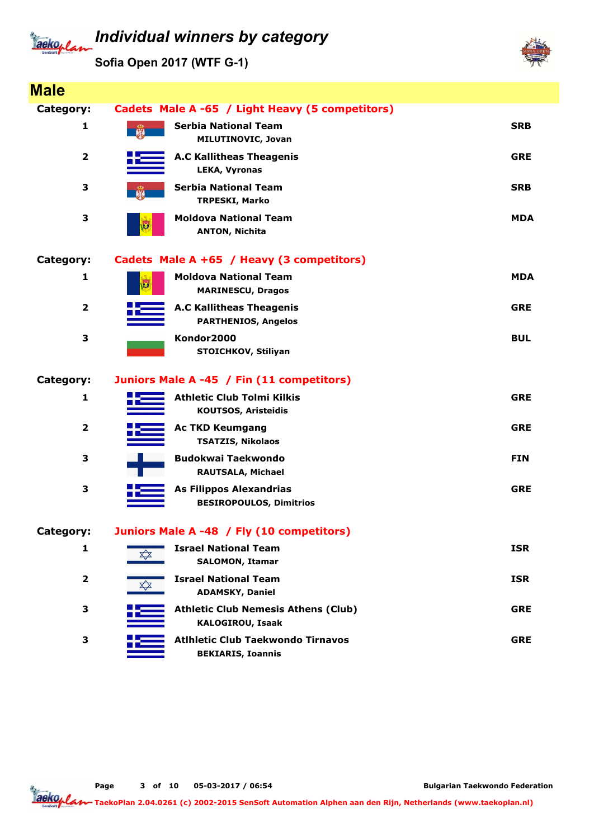## Jackeplan

## Individual winners by category

Sofia Open 2017 (WTF G-1)



| <b>Male</b>             |       |                                                                       |            |
|-------------------------|-------|-----------------------------------------------------------------------|------------|
| Category:               |       | Cadets Male A -65 / Light Heavy (5 competitors)                       |            |
| 1                       | $-66$ | <b>Serbia National Team</b><br><b>MILUTINOVIC, Jovan</b>              | <b>SRB</b> |
| $\overline{2}$          |       | <b>A.C Kallitheas Theagenis</b><br><b>LEKA, Vyronas</b>               | <b>GRE</b> |
| 3                       |       | <b>Serbia National Team</b><br><b>TRPESKI, Marko</b>                  | <b>SRB</b> |
| 3                       | w     | <b>Moldova National Team</b><br><b>ANTON, Nichita</b>                 | <b>MDA</b> |
| Category:               |       | Cadets Male A +65 / Heavy (3 competitors)                             |            |
| 1                       |       | <b>Moldova National Team</b><br><b>MARINESCU, Dragos</b>              | <b>MDA</b> |
| $\overline{\mathbf{2}}$ |       | <b>A.C Kallitheas Theagenis</b><br><b>PARTHENIOS, Angelos</b>         | <b>GRE</b> |
| 3                       |       | Kondor2000<br>STOICHKOV, Stiliyan                                     | <b>BUL</b> |
| Category:               |       | Juniors Male A -45 / Fin (11 competitors)                             |            |
| 1                       |       | <b>Athletic Club Tolmi Kilkis</b><br><b>KOUTSOS, Aristeidis</b>       | <b>GRE</b> |
| $\overline{\mathbf{2}}$ |       | <b>Ac TKD Keumgang</b><br><b>TSATZIS, Nikolaos</b>                    | <b>GRE</b> |
| З                       |       | <b>Budokwai Taekwondo</b><br><b>RAUTSALA, Michael</b>                 | <b>FIN</b> |
| 3                       |       | <b>As Filippos Alexandrias</b><br><b>BESIROPOULOS, Dimitrios</b>      | <b>GRE</b> |
| Category:               |       | Juniors Male A -48 / Fly (10 competitors)                             |            |
| 1                       | XX    | <b>Israel National Team</b><br><b>SALOMON, Itamar</b>                 | <b>ISR</b> |
| $\overline{\mathbf{2}}$ | XX    | <b>Israel National Team</b><br><b>ADAMSKY, Daniel</b>                 | <b>ISR</b> |
| З                       |       | <b>Athletic Club Nemesis Athens (Club)</b><br><b>KALOGIROU, Isaak</b> | <b>GRE</b> |
| 3                       |       | <b>Atihietic Club Taekwondo Tirnavos</b><br><b>BEKIARIS, Ioannis</b>  | <b>GRE</b> |

Page 3 of 10 05-03-2017 / 06:54

Bulgarian Taekwondo Federation

Taekoplan TaekoPlan 2.04.0261 (c) 2002-2015 SenSoft Automation Alphen aan den Rijn, Netherlands (www.taekoplan.nl)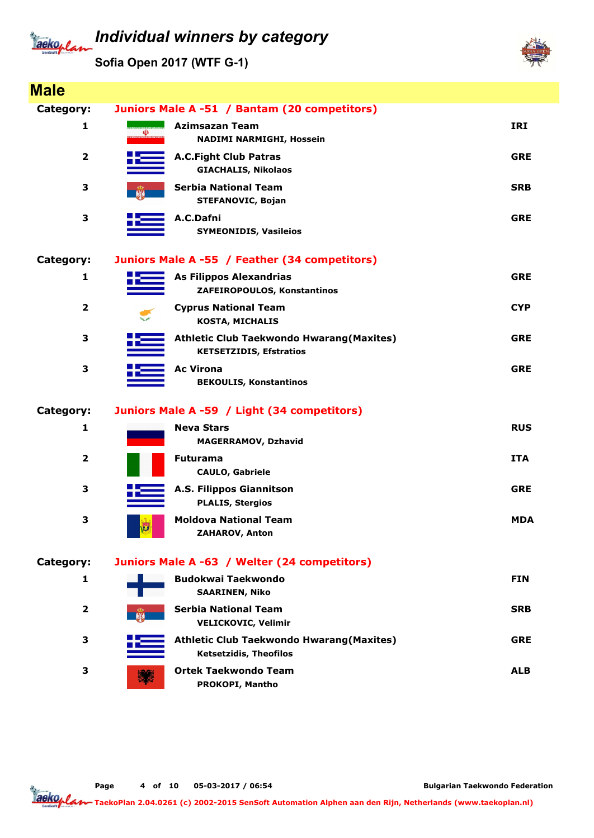# Tackoplan

## Individual winners by category

Sofia Open 2017 (WTF G-1)



| <b>Male</b>             |              |                                                                                    |            |
|-------------------------|--------------|------------------------------------------------------------------------------------|------------|
| Category:               |              | Juniors Male A -51 / Bantam (20 competitors)                                       |            |
| 1                       | (Ü)          | <b>Azimsazan Team</b><br><b>NADIMI NARMIGHI, Hossein</b>                           | <b>IRI</b> |
| $\overline{\mathbf{2}}$ |              | <b>A.C.Fight Club Patras</b><br><b>GIACHALIS, Nikolaos</b>                         | <b>GRE</b> |
| 3                       | $\mathbb{R}$ | <b>Serbia National Team</b><br>STEFANOVIC, Bojan                                   | <b>SRB</b> |
| 3                       |              | A.C.Dafni<br><b>SYMEONIDIS, Vasileios</b>                                          | <b>GRE</b> |
| Category:               |              | Juniors Male A -55 / Feather (34 competitors)                                      |            |
| 1                       |              | <b>As Filippos Alexandrias</b><br>ZAFEIROPOULOS, Konstantinos                      | <b>GRE</b> |
| $\mathbf{2}$            |              | <b>Cyprus National Team</b><br><b>KOSTA, MICHALIS</b>                              | <b>CYP</b> |
| 3                       |              | <b>Athletic Club Taekwondo Hwarang (Maxites)</b><br><b>KETSETZIDIS, Efstratios</b> | <b>GRE</b> |
| 3                       |              | <b>Ac Virona</b><br><b>BEKOULIS, Konstantinos</b>                                  | <b>GRE</b> |
| Category:               |              | Juniors Male A -59 / Light (34 competitors)                                        |            |
| 1                       |              | <b>Neva Stars</b><br><b>MAGERRAMOV, Dzhavid</b>                                    | <b>RUS</b> |
| $\overline{\mathbf{2}}$ |              | <b>Futurama</b><br><b>CAULO, Gabriele</b>                                          | <b>ITA</b> |
| 3                       |              | <b>A.S. Filippos Giannitson</b><br><b>PLALIS, Stergios</b>                         | <b>GRE</b> |
| 3                       | Ø            | <b>Moldova National Team</b><br><b>ZAHAROV, Anton</b>                              | <b>MDA</b> |
| Category:               |              | Juniors Male A -63 / Welter (24 competitors)                                       |            |
| 1                       |              | <b>Budokwai Taekwondo</b><br><b>SAARINEN, Niko</b>                                 | <b>FIN</b> |
| $\mathbf{2}$            |              | <b>Serbia National Team</b><br><b>VELICKOVIC, Velimir</b>                          | <b>SRB</b> |
| 3                       |              | <b>Athletic Club Taekwondo Hwarang (Maxites)</b><br><b>Ketsetzidis, Theofilos</b>  | <b>GRE</b> |
| 3                       |              | <b>Ortek Taekwondo Team</b><br>PROKOPI, Mantho                                     | <b>ALB</b> |

Page 4 of 10 05-03-2017 / 06:54

Bulgarian Taekwondo Federation

Taekoplan TaekoPlan 2.04.0261 (c) 2002-2015 SenSoft Automation Alphen aan den Rijn, Netherlands (www.taekoplan.nl)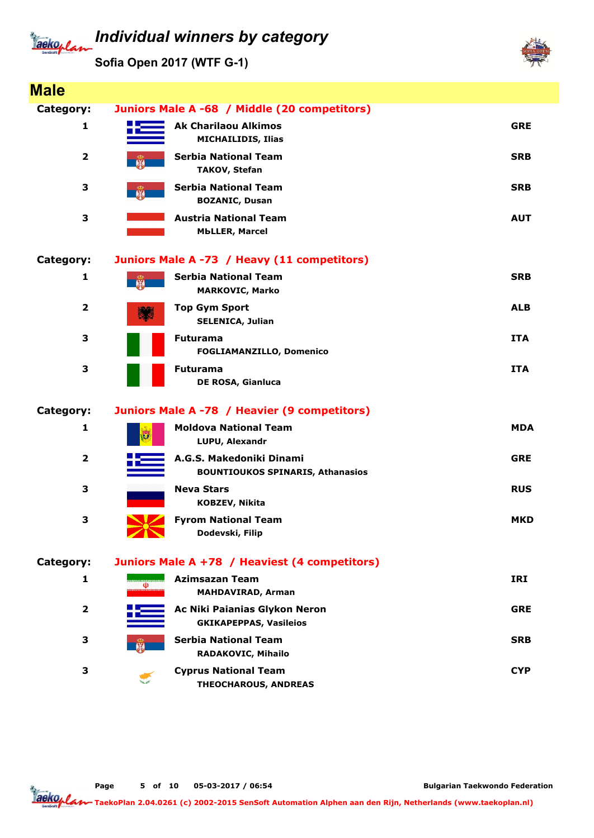# Tackoplan

Sofia Open 2017 (WTF G-1)



| <b>Male</b>             |                   |                                                                     |            |
|-------------------------|-------------------|---------------------------------------------------------------------|------------|
| Category:               |                   | Juniors Male A -68 / Middle (20 competitors)                        |            |
| 1                       |                   | <b>Ak Charilaou Alkimos</b><br><b>MICHAILIDIS, Ilias</b>            | <b>GRE</b> |
| $\overline{2}$          |                   | <b>Serbia National Team</b><br><b>TAKOV, Stefan</b>                 | <b>SRB</b> |
| 3                       | $\mathbb{R}$      | <b>Serbia National Team</b><br><b>BOZANIC, Dusan</b>                | <b>SRB</b> |
| 3                       |                   | <b>Austria National Team</b><br><b>MbLLER, Marcel</b>               | <b>AUT</b> |
| Category:               |                   | Juniors Male A -73 / Heavy (11 competitors)                         |            |
| 1                       |                   | <b>Serbia National Team</b><br><b>MARKOVIC, Marko</b>               | <b>SRB</b> |
| $\mathbf{2}$            |                   | <b>Top Gym Sport</b><br><b>SELENICA, Julian</b>                     | <b>ALB</b> |
| 3                       |                   | <b>Futurama</b><br><b>FOGLIAMANZILLO, Domenico</b>                  | <b>ITA</b> |
| 3                       |                   | <b>Futurama</b><br>DE ROSA, Gianluca                                | <b>ITA</b> |
| Category:               |                   | Juniors Male A -78 / Heavier (9 competitors)                        |            |
| 1                       | IJ                | <b>Moldova National Team</b><br>LUPU, Alexandr                      | <b>MDA</b> |
| $\overline{\mathbf{2}}$ |                   | A.G.S. Makedoniki Dinami<br><b>BOUNTIOUKOS SPINARIS, Athanasios</b> | <b>GRE</b> |
| 3                       |                   | <b>Neva Stars</b><br><b>KOBZEV, Nikita</b>                          | <b>RUS</b> |
| 3                       | $\sqrt{2}$        | <b>Fyrom National Team</b><br>Dodevski, Filip                       | MKD        |
| Category:               |                   | Juniors Male A +78 / Heaviest (4 competitors)                       |            |
| 1                       | $\overline{\Phi}$ | <b>Azimsazan Team</b><br><b>MAHDAVIRAD, Arman</b>                   | <b>IRI</b> |
| $\overline{\mathbf{2}}$ |                   | Ac Niki Paianias Glykon Neron<br><b>GKIKAPEPPAS, Vasileios</b>      | <b>GRE</b> |
| З                       |                   | <b>Serbia National Team</b><br>RADAKOVIC, Mihailo                   | <b>SRB</b> |
| 3                       |                   | <b>Cyprus National Team</b><br><b>THEOCHAROUS, ANDREAS</b>          | <b>CYP</b> |

Page 5 of 10 05-03-2017 / 06:54

Bulgarian Taekwondo Federation

Jackoplan TaekoPlan 2.04.0261 (c) 2002-2015 SenSoft Automation Alphen aan den Rijn, Netherlands (www.taekoplan.nl)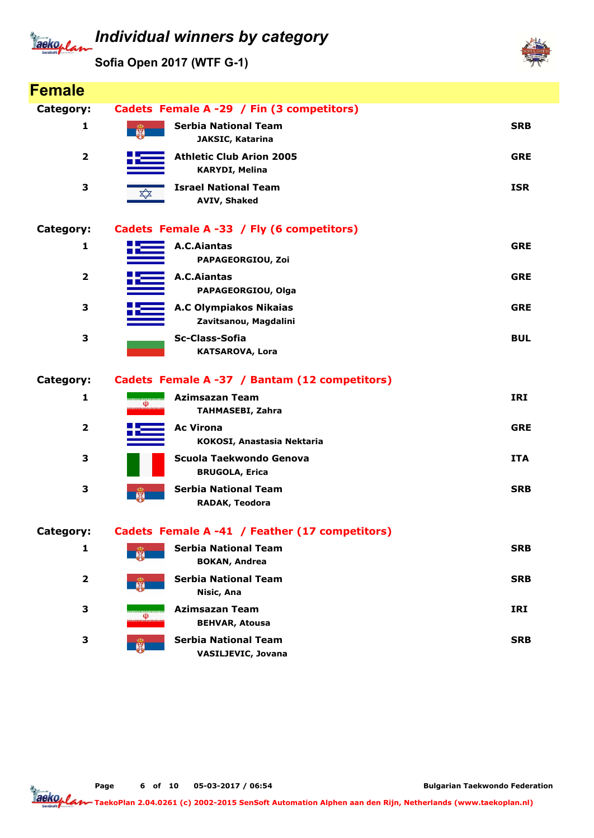#### Individual winners by category Jackoplan

Sofia Open 2017 (WTF G-1)

Female



| remale                  |                                                                                 |            |
|-------------------------|---------------------------------------------------------------------------------|------------|
| Category:               | Cadets Female A -29 / Fin (3 competitors)                                       |            |
| 1                       | <b>Serbia National Team</b><br>聯<br>JAKSIC, Katarina                            | <b>SRB</b> |
| $\overline{\mathbf{2}}$ | <b>Athletic Club Arion 2005</b><br><b>KARYDI, Melina</b>                        | <b>GRE</b> |
| 3                       | <b>Israel National Team</b><br>$\bigtimes\!\!\!\bigstar$<br><b>AVIV, Shaked</b> | <b>ISR</b> |
| Category:               | Cadets Female A -33 / Fly (6 competitors)                                       |            |
| 1                       | <b>A.C.Aiantas</b><br>PAPAGEORGIOU, Zoi                                         | <b>GRE</b> |
| $\overline{\mathbf{2}}$ | <b>A.C.Aiantas</b><br>PAPAGEORGIOU, Olga                                        | <b>GRE</b> |
| 3                       | <b>A.C Olympiakos Nikaias</b><br>Zavitsanou, Magdalini                          | <b>GRE</b> |
| 3                       | Sc-Class-Sofia<br><b>KATSAROVA, Lora</b>                                        | <b>BUL</b> |
| Category:               | Cadets Female A -37 / Bantam (12 competitors)                                   |            |
| 1                       | <b>Azimsazan Team</b><br>(Ü)<br><b>TAHMASEBI, Zahra</b>                         | IRI        |
| $\overline{\mathbf{2}}$ | <b>Ac Virona</b><br>KOKOSI, Anastasia Nektaria                                  | <b>GRE</b> |
| 3                       | Scuola Taekwondo Genova<br><b>BRUGOLA, Erica</b>                                | <b>ITA</b> |
| 3                       | <b>Serbia National Team</b><br>聯<br>RADAK, Teodora                              | <b>SRB</b> |
| Category:               | Cadets Female A -41 / Feather (17 competitors)                                  |            |
| $\mathbf{1}$            | <b>Serbia National Team</b><br><b>BOKAN, Andrea</b>                             | <b>SRB</b> |
| $\mathbf{2}$            | <b>Serbia National Team</b><br>Nisic, Ana                                       | <b>SRB</b> |
| 3                       | <b>Azimsazan Team</b><br>⅏<br><b>BEHVAR, Atousa</b>                             | IRI        |
| 3                       | <b>Serbia National Team</b><br>船<br><b>VASILJEVIC, Jovana</b>                   | <b>SRB</b> |

Page 6 of 10 05-03-2017 / 06:54

Bulgarian Taekwondo Federation

Tackoplar TaekoPlan 2.04.0261 (c) 2002-2015 SenSoft Automation Alphen aan den Rijn, Netherlands (www.taekoplan.nl)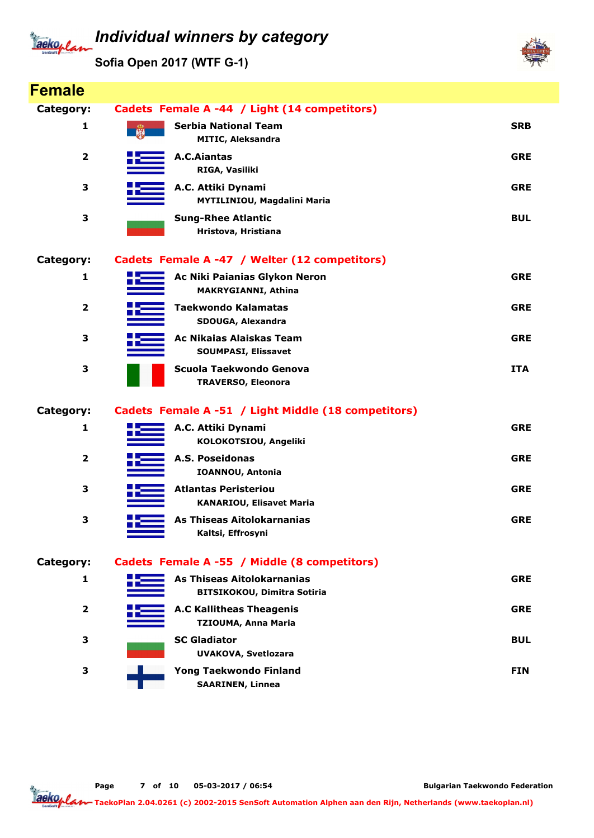### Individual winners by category Tackoplan

Sofia Open 2017 (WTF G-1)



| <b>Female</b>           |                                                                  |            |
|-------------------------|------------------------------------------------------------------|------------|
| Category:               | Cadets Female A -44 / Light (14 competitors)                     |            |
| 1                       | <b>Serbia National Team</b><br><b>MITIC, Aleksandra</b>          | <b>SRB</b> |
| $\mathbf{2}$            | A.C.Aiantas<br>RIGA, Vasiliki                                    | <b>GRE</b> |
| 3                       | A.C. Attiki Dynami<br>MYTILINIOU, Magdalini Maria                | <b>GRE</b> |
| 3                       | <b>Sung-Rhee Atlantic</b><br>Hristova, Hristiana                 | <b>BUL</b> |
| Category:               | Cadets Female A -47 / Welter (12 competitors)                    |            |
| 1                       | Ac Niki Paianias Glykon Neron<br>MAKRYGIANNI, Athina             | <b>GRE</b> |
| $\overline{2}$          | <b>Taekwondo Kalamatas</b><br>SDOUGA, Alexandra                  | <b>GRE</b> |
| 3                       | Ac Nikaias Alaiskas Team<br><b>SOUMPASI, Elissavet</b>           | <b>GRE</b> |
| 3                       | Scuola Taekwondo Genova<br><b>TRAVERSO, Eleonora</b>             | <b>ITA</b> |
| Category:               | Cadets Female A -51 / Light Middle (18 competitors)              |            |
| 1                       | A.C. Attiki Dynami<br>KOLOKOTSIOU, Angeliki                      | <b>GRE</b> |
| $\overline{\mathbf{2}}$ | A.S. Poseidonas<br><b>IOANNOU, Antonia</b>                       | <b>GRE</b> |
| 3                       | <b>Atlantas Peristeriou</b><br><b>KANARIOU, Elisavet Maria</b>   | <b>GRE</b> |
|                         |                                                                  |            |
| 3                       | As Thiseas Aitolokarnanias<br>Kaltsi, Effrosyni                  | <b>GRE</b> |
| Category:               | Cadets Female A -55 / Middle (8 competitors)                     |            |
| 1                       | As Thiseas Aitolokarnanias<br><b>BITSIKOKOU, Dimitra Sotiria</b> | <b>GRE</b> |
| $\overline{2}$          | <b>A.C Kallitheas Theagenis</b><br><b>TZIOUMA, Anna Maria</b>    | <b>GRE</b> |
| 3                       | <b>SC Gladiator</b><br><b>UVAKOVA, Svetlozara</b>                | <b>BUL</b> |

Page 7 of 10 05-03-2017 / 06:54

Bulgarian Taekwondo Federation

Tackoplar TaekoPlan 2.04.0261 (c) 2002-2015 SenSoft Automation Alphen aan den Rijn, Netherlands (www.taekoplan.nl)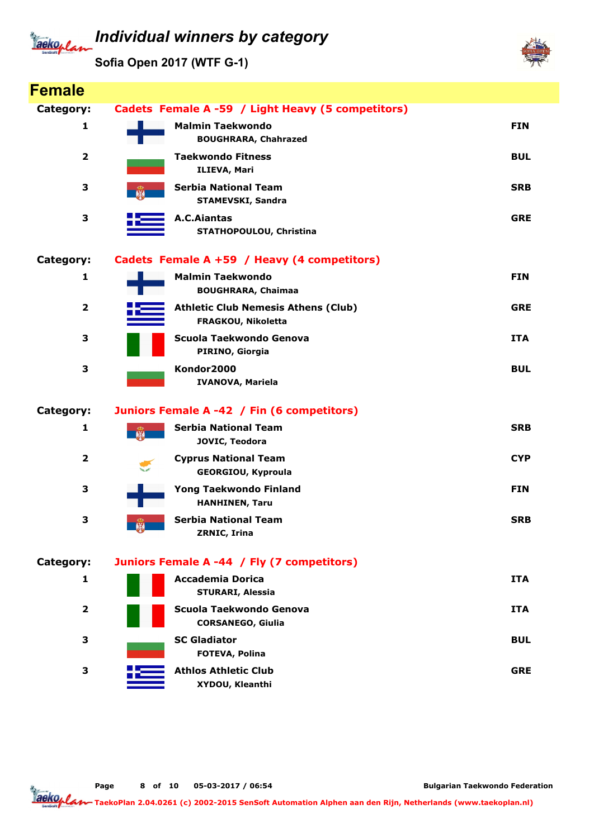#### Individual winners by category aeko./

Sofia Open 2017 (WTF G-1)



Bulgarian Taekwondo Federation

TaekoPlan 2.04.0261 (c) 2002-2015 SenSoft Automation Alphen aan den Rijn, Netherlands (www.taekoplan.nl)

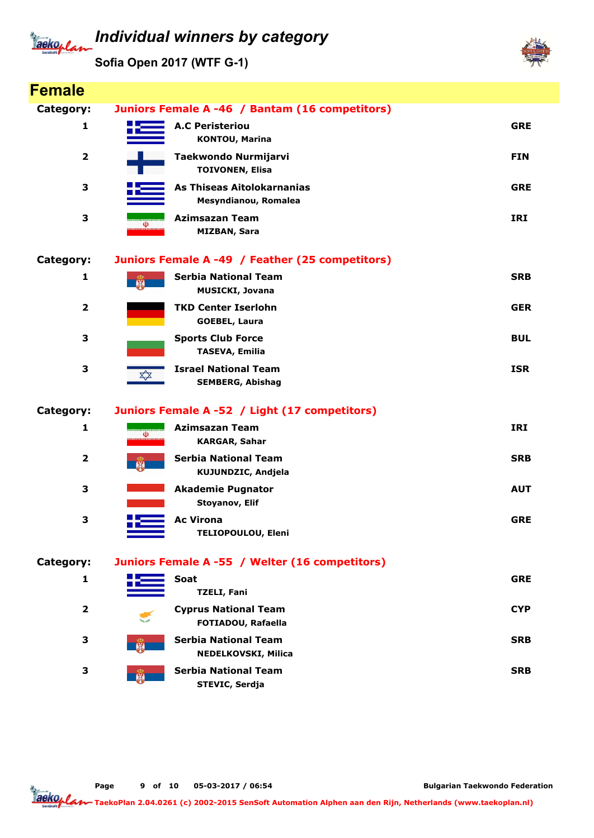#### Individual winners by category Tackoplan

Sofia Open 2017 (WTF G-1)



| <b>Female</b>           |                                                             |            |
|-------------------------|-------------------------------------------------------------|------------|
| Category:               | Juniors Female A -46 / Bantam (16 competitors)              |            |
| 1                       | <b>A.C Peristeriou</b><br><b>KONTOU, Marina</b>             | <b>GRE</b> |
| $\overline{\mathbf{2}}$ | Taekwondo Nurmijarvi<br><b>TOIVONEN, Elisa</b>              | <b>FIN</b> |
| 3                       | As Thiseas Aitolokarnanias<br>Mesyndianou, Romalea          | <b>GRE</b> |
| 3                       | <b>Azimsazan Team</b><br>(Ü)<br><b>MIZBAN, Sara</b>         | <b>IRI</b> |
| Category:               | Juniors Female A -49 / Feather (25 competitors)             |            |
| 1                       | <b>Serbia National Team</b><br><b>MUSICKI, Jovana</b>       | <b>SRB</b> |
| $\overline{\mathbf{2}}$ | <b>TKD Center Iserlohn</b><br><b>GOEBEL, Laura</b>          | <b>GER</b> |
| 3                       | <b>Sports Club Force</b><br><b>TASEVA, Emilia</b>           | <b>BUL</b> |
| 3                       | <b>Israel National Team</b><br>╳<br><b>SEMBERG, Abishag</b> | <b>ISR</b> |
| Category:               | Juniors Female A -52 / Light (17 competitors)               |            |
| 1                       | <b>Azimsazan Team</b><br>(U)<br><b>KARGAR, Sahar</b>        | <b>IRI</b> |
| $\overline{\mathbf{2}}$ | <b>Serbia National Team</b><br><b>KUJUNDZIC, Andjela</b>    | <b>SRB</b> |
| 3                       | <b>Akademie Pugnator</b><br>Stoyanov, Elif                  | <b>AUT</b> |
| 3                       | <b>Ac Virona</b><br><b>TELIOPOULOU, Eleni</b>               | <b>GRE</b> |
| Category:               | Juniors Female A -55 / Welter (16 competitors)              |            |
| 1                       | Soat<br><b>TZELI, Fani</b>                                  | <b>GRE</b> |
| $\overline{2}$          | <b>Cyprus National Team</b><br>FOTIADOU, Rafaella           | <b>CYP</b> |
| 3                       | <b>Serbia National Team</b><br><b>NEDELKOVSKI, Milica</b>   | <b>SRB</b> |
| 3                       | <b>Serbia National Team</b><br>STEVIC, Serdja               | <b>SRB</b> |

Page 9 of 10 05-03-2017 / 06:54

Bulgarian Taekwondo Federation

Jackoplan TaekoPlan 2.04.0261 (c) 2002-2015 SenSoft Automation Alphen aan den Rijn, Netherlands (www.taekoplan.nl)